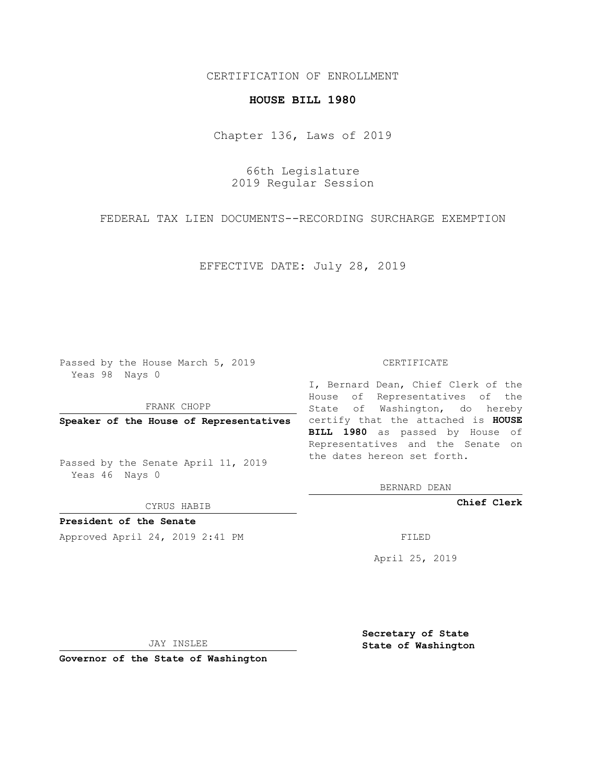## CERTIFICATION OF ENROLLMENT

## **HOUSE BILL 1980**

Chapter 136, Laws of 2019

66th Legislature 2019 Regular Session

FEDERAL TAX LIEN DOCUMENTS--RECORDING SURCHARGE EXEMPTION

EFFECTIVE DATE: July 28, 2019

Passed by the House March 5, 2019 Yeas 98 Nays 0

FRANK CHOPP

Passed by the Senate April 11, 2019 Yeas 46 Nays 0

CYRUS HABIB

**President of the Senate**

Approved April 24, 2019 2:41 PM FILED

## CERTIFICATE

**Speaker of the House of Representatives** certify that the attached is **HOUSE** I, Bernard Dean, Chief Clerk of the House of Representatives of the State of Washington, do hereby **BILL 1980** as passed by House of Representatives and the Senate on the dates hereon set forth.

BERNARD DEAN

**Chief Clerk**

April 25, 2019

JAY INSLEE

**Governor of the State of Washington**

**Secretary of State State of Washington**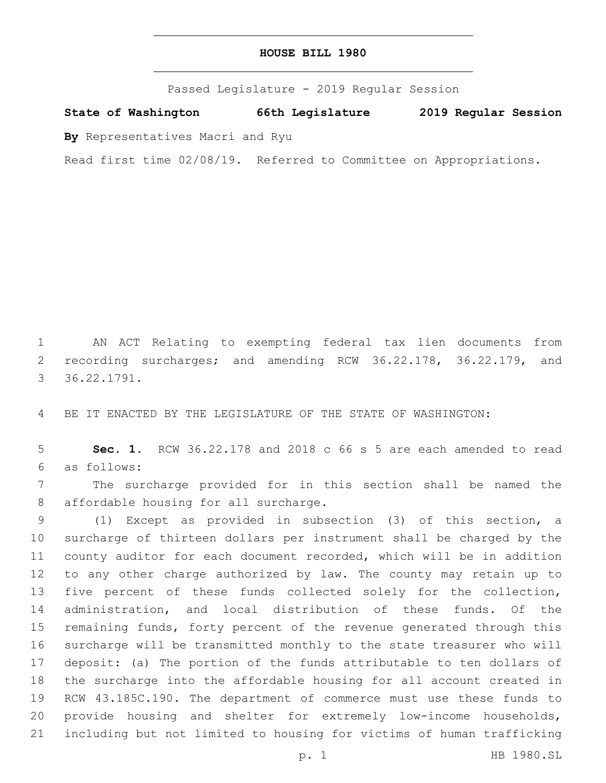## **HOUSE BILL 1980**

Passed Legislature - 2019 Regular Session

**State of Washington 66th Legislature 2019 Regular Session**

**By** Representatives Macri and Ryu

Read first time 02/08/19. Referred to Committee on Appropriations.

 AN ACT Relating to exempting federal tax lien documents from 2 recording surcharges; and amending RCW 36.22.178, 36.22.179, and 36.22.1791.3

BE IT ENACTED BY THE LEGISLATURE OF THE STATE OF WASHINGTON:

 **Sec. 1.** RCW 36.22.178 and 2018 c 66 s 5 are each amended to read as follows:6

 The surcharge provided for in this section shall be named the 8 affordable housing for all surcharge.

 (1) Except as provided in subsection (3) of this section, a surcharge of thirteen dollars per instrument shall be charged by the county auditor for each document recorded, which will be in addition to any other charge authorized by law. The county may retain up to five percent of these funds collected solely for the collection, administration, and local distribution of these funds. Of the remaining funds, forty percent of the revenue generated through this surcharge will be transmitted monthly to the state treasurer who will deposit: (a) The portion of the funds attributable to ten dollars of the surcharge into the affordable housing for all account created in RCW 43.185C.190. The department of commerce must use these funds to provide housing and shelter for extremely low-income households, including but not limited to housing for victims of human trafficking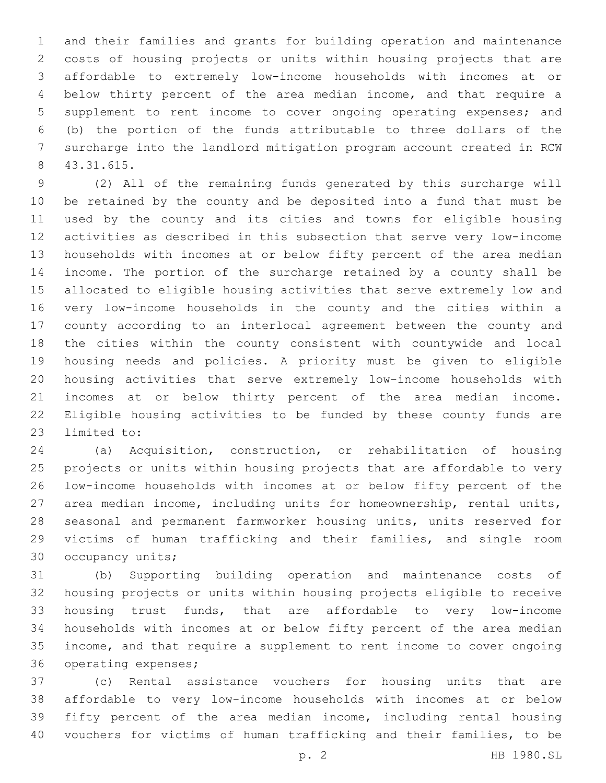and their families and grants for building operation and maintenance costs of housing projects or units within housing projects that are affordable to extremely low-income households with incomes at or below thirty percent of the area median income, and that require a supplement to rent income to cover ongoing operating expenses; and (b) the portion of the funds attributable to three dollars of the surcharge into the landlord mitigation program account created in RCW 43.31.615.8

 (2) All of the remaining funds generated by this surcharge will be retained by the county and be deposited into a fund that must be used by the county and its cities and towns for eligible housing activities as described in this subsection that serve very low-income households with incomes at or below fifty percent of the area median income. The portion of the surcharge retained by a county shall be allocated to eligible housing activities that serve extremely low and very low-income households in the county and the cities within a county according to an interlocal agreement between the county and the cities within the county consistent with countywide and local housing needs and policies. A priority must be given to eligible housing activities that serve extremely low-income households with incomes at or below thirty percent of the area median income. Eligible housing activities to be funded by these county funds are 23 limited to:

 (a) Acquisition, construction, or rehabilitation of housing projects or units within housing projects that are affordable to very low-income households with incomes at or below fifty percent of the area median income, including units for homeownership, rental units, seasonal and permanent farmworker housing units, units reserved for victims of human trafficking and their families, and single room 30 occupancy units;

 (b) Supporting building operation and maintenance costs of housing projects or units within housing projects eligible to receive housing trust funds, that are affordable to very low-income households with incomes at or below fifty percent of the area median income, and that require a supplement to rent income to cover ongoing 36 operating expenses;

 (c) Rental assistance vouchers for housing units that are affordable to very low-income households with incomes at or below fifty percent of the area median income, including rental housing vouchers for victims of human trafficking and their families, to be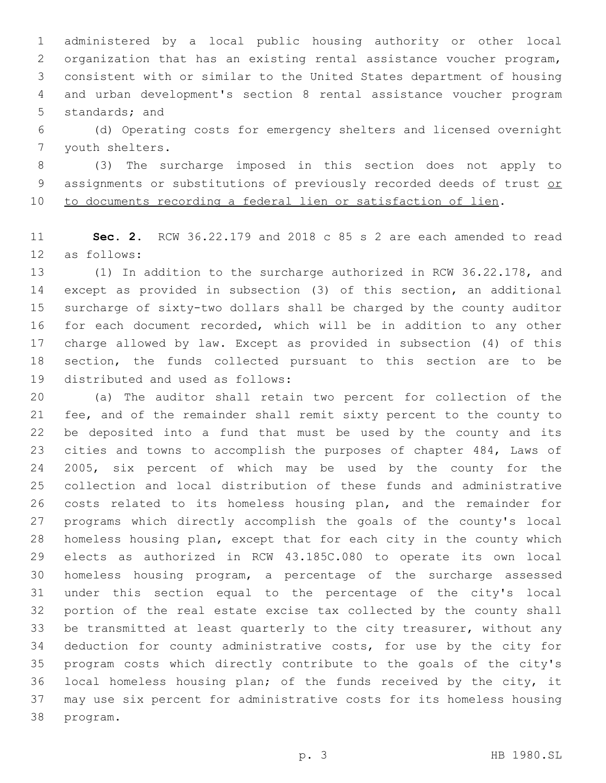administered by a local public housing authority or other local organization that has an existing rental assistance voucher program, consistent with or similar to the United States department of housing and urban development's section 8 rental assistance voucher program 5 standards; and

 (d) Operating costs for emergency shelters and licensed overnight 7 youth shelters.

 (3) The surcharge imposed in this section does not apply to 9 assignments or substitutions of previously recorded deeds of trust or to documents recording a federal lien or satisfaction of lien.

 **Sec. 2.** RCW 36.22.179 and 2018 c 85 s 2 are each amended to read 12 as follows:

 (1) In addition to the surcharge authorized in RCW 36.22.178, and except as provided in subsection (3) of this section, an additional surcharge of sixty-two dollars shall be charged by the county auditor for each document recorded, which will be in addition to any other charge allowed by law. Except as provided in subsection (4) of this section, the funds collected pursuant to this section are to be 19 distributed and used as follows:

 (a) The auditor shall retain two percent for collection of the fee, and of the remainder shall remit sixty percent to the county to be deposited into a fund that must be used by the county and its cities and towns to accomplish the purposes of chapter 484, Laws of 2005, six percent of which may be used by the county for the collection and local distribution of these funds and administrative costs related to its homeless housing plan, and the remainder for programs which directly accomplish the goals of the county's local homeless housing plan, except that for each city in the county which elects as authorized in RCW 43.185C.080 to operate its own local homeless housing program, a percentage of the surcharge assessed under this section equal to the percentage of the city's local portion of the real estate excise tax collected by the county shall be transmitted at least quarterly to the city treasurer, without any deduction for county administrative costs, for use by the city for program costs which directly contribute to the goals of the city's local homeless housing plan; of the funds received by the city, it may use six percent for administrative costs for its homeless housing 38 program.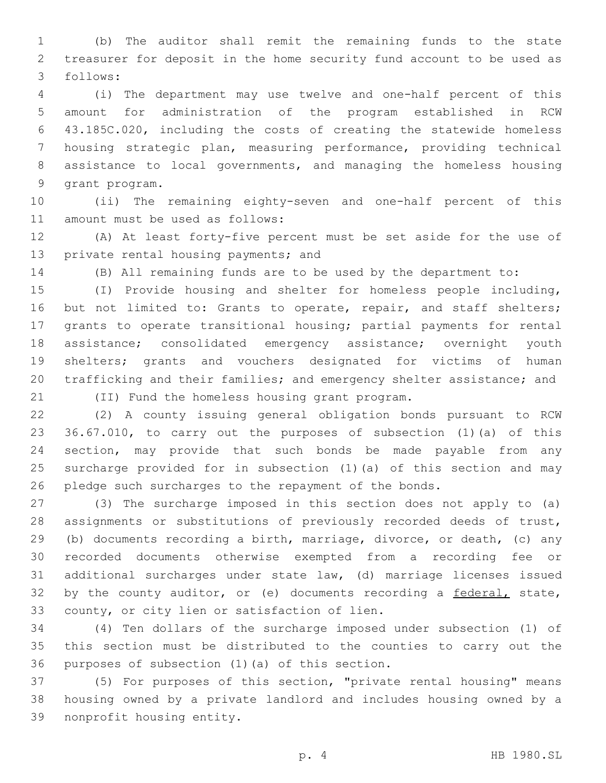(b) The auditor shall remit the remaining funds to the state treasurer for deposit in the home security fund account to be used as follows:3

 (i) The department may use twelve and one-half percent of this amount for administration of the program established in RCW 43.185C.020, including the costs of creating the statewide homeless housing strategic plan, measuring performance, providing technical assistance to local governments, and managing the homeless housing 9 grant program.

 (ii) The remaining eighty-seven and one-half percent of this 11 amount must be used as follows:

 (A) At least forty-five percent must be set aside for the use of 13 private rental housing payments; and

(B) All remaining funds are to be used by the department to:

 (I) Provide housing and shelter for homeless people including, 16 but not limited to: Grants to operate, repair, and staff shelters; grants to operate transitional housing; partial payments for rental assistance; consolidated emergency assistance; overnight youth shelters; grants and vouchers designated for victims of human trafficking and their families; and emergency shelter assistance; and

(II) Fund the homeless housing grant program.21

 (2) A county issuing general obligation bonds pursuant to RCW 36.67.010, to carry out the purposes of subsection (1)(a) of this section, may provide that such bonds be made payable from any surcharge provided for in subsection (1)(a) of this section and may pledge such surcharges to the repayment of the bonds.

 (3) The surcharge imposed in this section does not apply to (a) assignments or substitutions of previously recorded deeds of trust, (b) documents recording a birth, marriage, divorce, or death, (c) any recorded documents otherwise exempted from a recording fee or additional surcharges under state law, (d) marriage licenses issued 32 by the county auditor, or (e) documents recording a federal, state, 33 county, or city lien or satisfaction of lien.

 (4) Ten dollars of the surcharge imposed under subsection (1) of this section must be distributed to the counties to carry out the 36 purposes of subsection  $(1)$   $(a)$  of this section.

 (5) For purposes of this section, "private rental housing" means housing owned by a private landlord and includes housing owned by a 39 nonprofit housing entity.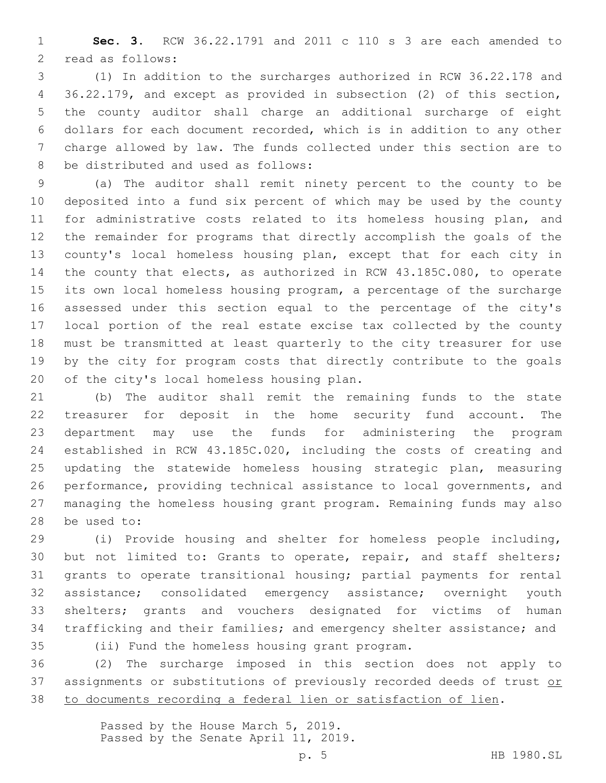**Sec. 3.** RCW 36.22.1791 and 2011 c 110 s 3 are each amended to 2 read as follows:

 (1) In addition to the surcharges authorized in RCW 36.22.178 and 36.22.179, and except as provided in subsection (2) of this section, the county auditor shall charge an additional surcharge of eight dollars for each document recorded, which is in addition to any other charge allowed by law. The funds collected under this section are to 8 be distributed and used as follows:

 (a) The auditor shall remit ninety percent to the county to be deposited into a fund six percent of which may be used by the county for administrative costs related to its homeless housing plan, and the remainder for programs that directly accomplish the goals of the county's local homeless housing plan, except that for each city in the county that elects, as authorized in RCW 43.185C.080, to operate its own local homeless housing program, a percentage of the surcharge assessed under this section equal to the percentage of the city's local portion of the real estate excise tax collected by the county must be transmitted at least quarterly to the city treasurer for use by the city for program costs that directly contribute to the goals 20 of the city's local homeless housing plan.

 (b) The auditor shall remit the remaining funds to the state treasurer for deposit in the home security fund account. The department may use the funds for administering the program established in RCW 43.185C.020, including the costs of creating and updating the statewide homeless housing strategic plan, measuring performance, providing technical assistance to local governments, and managing the homeless housing grant program. Remaining funds may also 28 be used to:

 (i) Provide housing and shelter for homeless people including, 30 but not limited to: Grants to operate, repair, and staff shelters; grants to operate transitional housing; partial payments for rental assistance; consolidated emergency assistance; overnight youth shelters; grants and vouchers designated for victims of human trafficking and their families; and emergency shelter assistance; and

(ii) Fund the homeless housing grant program.35

 (2) The surcharge imposed in this section does not apply to 37 assignments or substitutions of previously recorded deeds of trust or to documents recording a federal lien or satisfaction of lien.

> Passed by the House March 5, 2019. Passed by the Senate April 11, 2019.